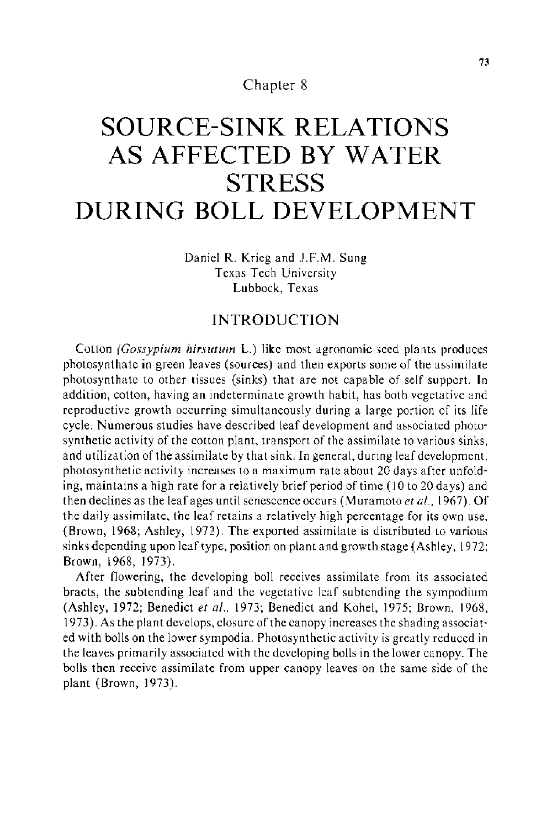## Chapter 8

# **SOURCE-SINK RELATIONS AS AFFECTED BY WATER STRESS DURING BOLL DEVELOPMENT**

Daniel **R.** Krieg and J.F.M. Sung Texas Tech University Lubbock, Texas

## **INTRODUCTION**

Cotton *(Gossypium hirsutum* L.) like most agronomic seed plants produces photosynthate in green leaves (sources) and then exports some of the assimilate photosynthate to other tissues (sinks) that are not capable of self support. In addition, cotton, having an indeterminate growth habit, has both vegetative and reproductive growth occurring simultaneously during a large portion of its life cycle. Numerous studies have described leaf development and associated photosynthetic activity of the cotton plant, transport of the assimilate to various sinks, and utilization of the assimilate by that sink. In general, during leaf development, photosynthetic activity increases to a maximum rate about 20 days after unfolding, maintains a high rate for a relatively brief period of time (10 to 20 days) and then declines as the leaf ages until senescence occurs (Muramoto *eta!.,* 1967). Of the daily assimilate, the leaf retains a relatively high percentage for its own use, (Brown, 1968; Ashley, 1972). The exported assimilate is distributed to various sinks depending upon leaf type, position on plant and growth stage (Ashley, 1972; Brown, 1968, 1973).

After flowering, the developing boll receives assimilate from its associated bracts, the subtending leaf and the vegetative leaf subtending the sympodium (Ashley, 1972; Benedict *et al.,* 1973; Benedict and Kohel, 1975; Brown, 1968, 1973). As the plant develops, closure of the canopy increases the shading associated with bolls on the lower sympodia. Photosynthetic activity is greatly reduced in the leaves primarily associated with the developing bolls in the lower canopy. The bolls then receive assimilate from upper canopy leaves on the same side of the plant (Brown, 1973).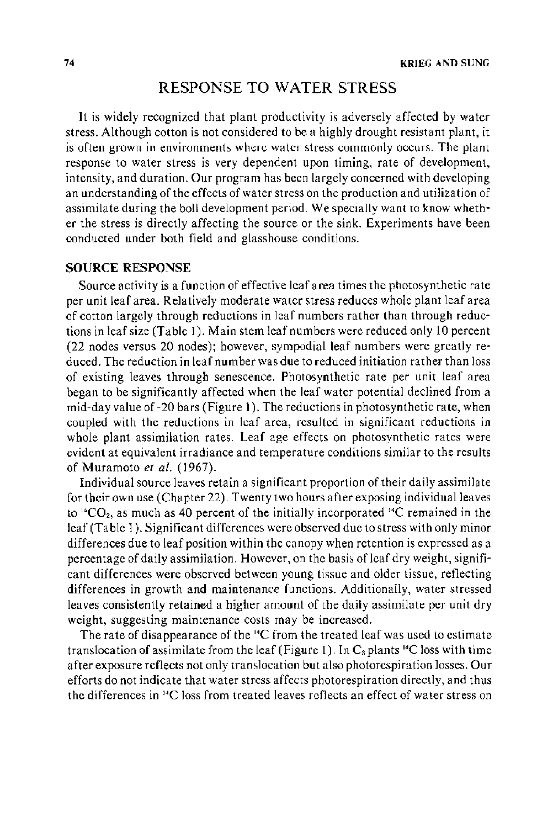## RESPONSE TO WATER STRESS

It is widely recognized that plant productivity is adversely affected by water stress. Although cotton is not considered to be a highly drought resistant plant, it is often grown in environments where water stress commonly occurs. The plant response to water stress is very dependent upon timing, rate of development, intensity, and duration. Our program has been largely concerned with developing an understanding of the effects of water stress on the production and utilization of assimilate during the boll development period. We specially want to know whether the stress is directly affecting the source or the sink. Experiments have been conducted under both field and glasshouse conditions.

#### SOURCE RESPONSE

Source activity is a function of effective leaf area times the photosynthetic rate per unit leaf area. Relatively moderate water stress reduces whole plant leaf area of cotton largely through reductions in leaf numbers rather than through reductions in leaf size (Table 1). Main stem leaf numbers were reduced only 10 percent (22 nodes versus 20 nodes); however, sympodial leaf numbers were greatly reduced. The reduction in leaf number was due to reduced initiation rather than loss of existing leaves through senescence. Photosynthetic rate per unit leaf area began to be significantly affected when the leaf water potential declined from a mid-day value of -20 bars (Figure 1). The reductions in photosynthetic rate, when coupled with the reductions in leaf area, resulted in significant reductions in whole plant assimilation rates. Leaf age effects on photosynthetic rates were evident at equivalent irradiance and temperature conditions similar to the results of Muramoto *et al.* (1967).

Individual source leaves retain a significant proportion of their daily assimilate for their own use (Chapter 22). Twenty two hours after exposing individual leaves to  ${}^{14}CO_2$ , as much as 40 percent of the initially incorporated  ${}^{14}C$  remained in the leaf (Table 1). Significant differences were observed due to stress with only minor differences due to leaf position within the canopy when retention is expressed as a percentage of daily assimilation. However, on the basis of leaf dry weight, significant differences were observed between young tissue and older tissue, reflecting differences in growth and maintenance functions. Additionally, water stressed leaves consistently retained a higher amount of the daily assimilate per unit dry weight, suggesting maintenance costs may be increased.

The rate of disappearance of the ' 4 C from the treated leaf was used to estimate translocation of assimilate from the leaf (Figure 1). In  $C_3$  plants <sup>14</sup>C loss with time after exposure reflects not only translocation but also photorespiration losses. Our efforts do not indicate that water stress affects photorespiration directly, and thus the differences in 14C loss from treated leaves reflects an effect of water stress on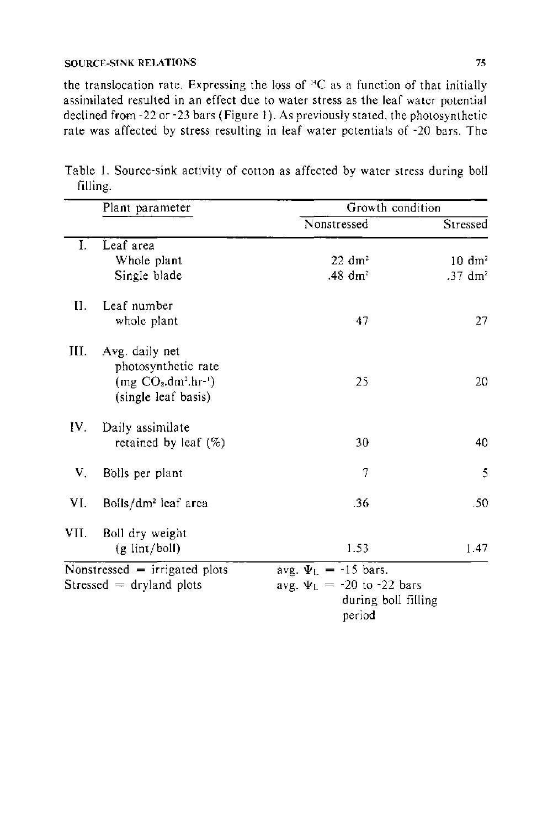the translocation rate. Expressing the loss of 14C as a function of that initially assimilated resulted in an effect due to water stress as the leaf water potential declined from -22 or -23 bars (Figure 1). As previously stated, the photosynthetic rate was affected by stress resulting in leaf water potentials of -20 bars. The

|                                                               | Plant parameter                                                                     | Growth condition                                                                              |                      |
|---------------------------------------------------------------|-------------------------------------------------------------------------------------|-----------------------------------------------------------------------------------------------|----------------------|
|                                                               |                                                                                     | Nonstressed                                                                                   | Stressed             |
| L.                                                            | Leaf area                                                                           |                                                                                               |                      |
|                                                               | Whole plant                                                                         | $22 \, dm^2$                                                                                  | $10 \text{ dm}^2$    |
|                                                               | Single blade                                                                        | .48 $dm2$                                                                                     | $.37 \, \text{dm}^2$ |
| II.                                                           | Leaf number                                                                         |                                                                                               |                      |
|                                                               | whole plant                                                                         | 47                                                                                            | 27                   |
| HI.                                                           | Avg. daily net<br>photosynthetic rate<br>$(mg CO2.dm2.hr-1)$<br>(single leaf basis) | 25                                                                                            | 20                   |
| IV.                                                           | Daily assimilate<br>retained by leaf $(\%)$                                         | 30                                                                                            | 40                   |
| V.                                                            | Bolls per plant                                                                     | 7                                                                                             | 5                    |
| VI.                                                           | Bolls/dm <sup>2</sup> leaf area                                                     | .36                                                                                           | -50                  |
| VII.                                                          | Boll dry weight<br>$(g \text{lint/boll})$                                           | 1.53                                                                                          | 1.47                 |
| Nonstressed $=$ irrigated plots<br>$Stressed = dryland plots$ |                                                                                     | avg. $\Psi_L = -15$ bars.<br>avg. $\Psi_L = -20$ to -22 bars<br>during boll filling<br>period |                      |

Table 1. Source-sink activity of cotton as affected by water stress during boll filling.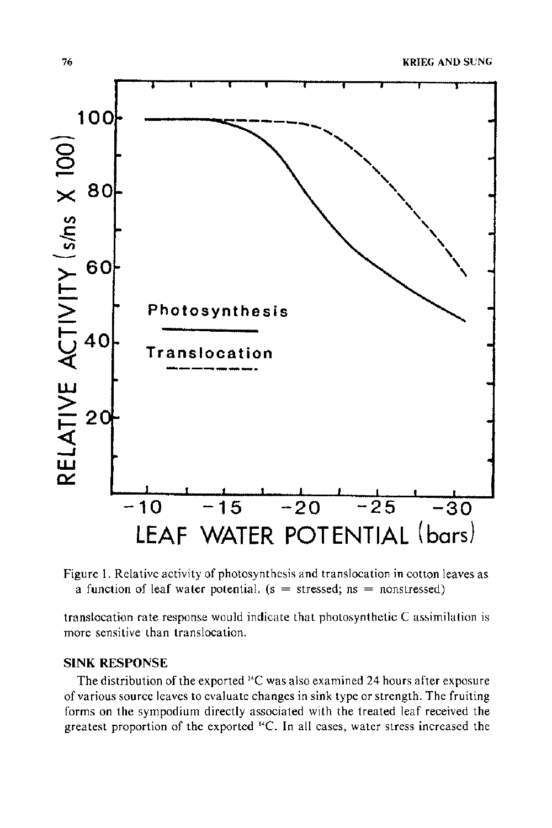

Figure 1. Relative activity of photosynthesis and translocation in cotton leaves as a function of leaf water potential.  $(s = \text{stressed}, \text{ns} = \text{nonstressed})$ 

translocation rate response would indicate that photosynthetic C assimilation is more sensitive than translocation.

### **SINK RESPONSE**

The distribution of the exported 14C was also examined 24 hours after exposure of various source leaves to evaluate changes in sink type or strength. The fruiting forms on the sympodium directly associated with the treated leaf received the greatest proportion of the exported <sup>14</sup>C. In all cases, water stress increased the